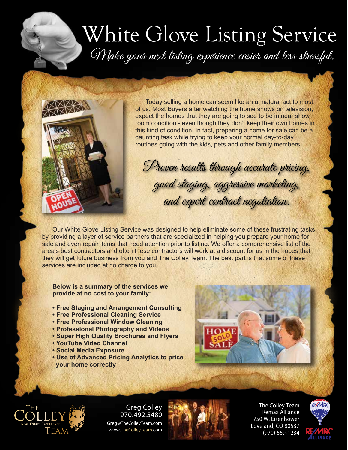## White Glove Listing Service Make your next listing experience easier and less stressful.



Today selling a home can seem like an unnatural act to most of us. Most Buyers after watching the home shows on television, expect the homes that they are going to see to be in near show room condition - even though they don't keep their own homes in this kind of condition. In fact, preparing a home for sale can be a daunting task while trying to keep your normal day-to-day routines going with the kids, pets and other family members.

Proven results through accurate pricing, good staging, aggressive marketing, and expert contract negotiation.

Our White Glove Listing Service was designed to help eliminate some of these frustrating tasks by providing a layer of service partners that are specialized in helping you prepare your home for sale and even repair items that need attention prior to listing. We offer a comprehensive list of the area's best contractors and often these contractors will work at a discount for us in the hopes that they will get future business from you and The Colley Team. The best part is that some of these services are included at no charge to you.

**Below is a summary of the services we provide at no cost to your family:**

- **Free Staging and Arrangement Consulting**
- **Free Professional Cleaning Service**
- **Free Professional Window Cleaning**
- **Professional Photography and Videos**
- **Super High Quality Brochures and Flyers**
- **YouTube Video Channel**
- **Social Media Exposure**
- **Use of Advanced Pricing Analytics to price your home correctly**





Greg Colley 970.492.5480 Greg@TheColleyTeam.com www.**TheColleyTeam**.com



**The Colley Team Remax Alliance 750 W. Eisenhower Loveland, CO 80537 (970) 669-1234**